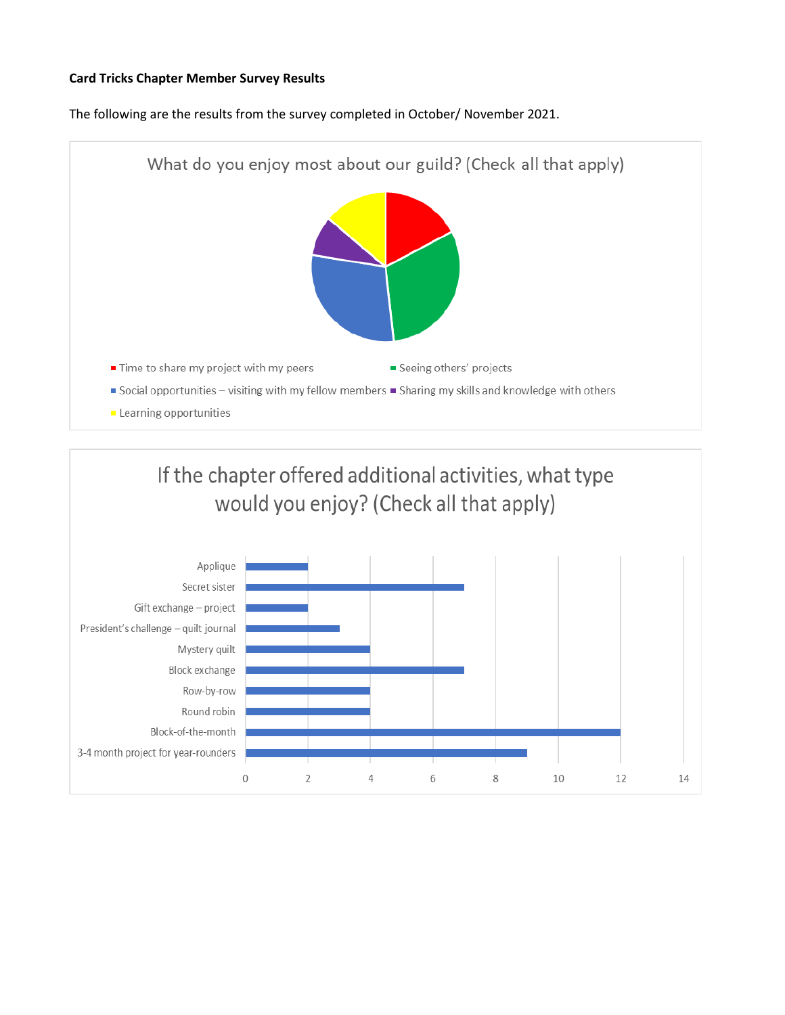## **Card Tricks Chapter Member Survey Results**

The following are the results from the survey completed in October/ November 2021.



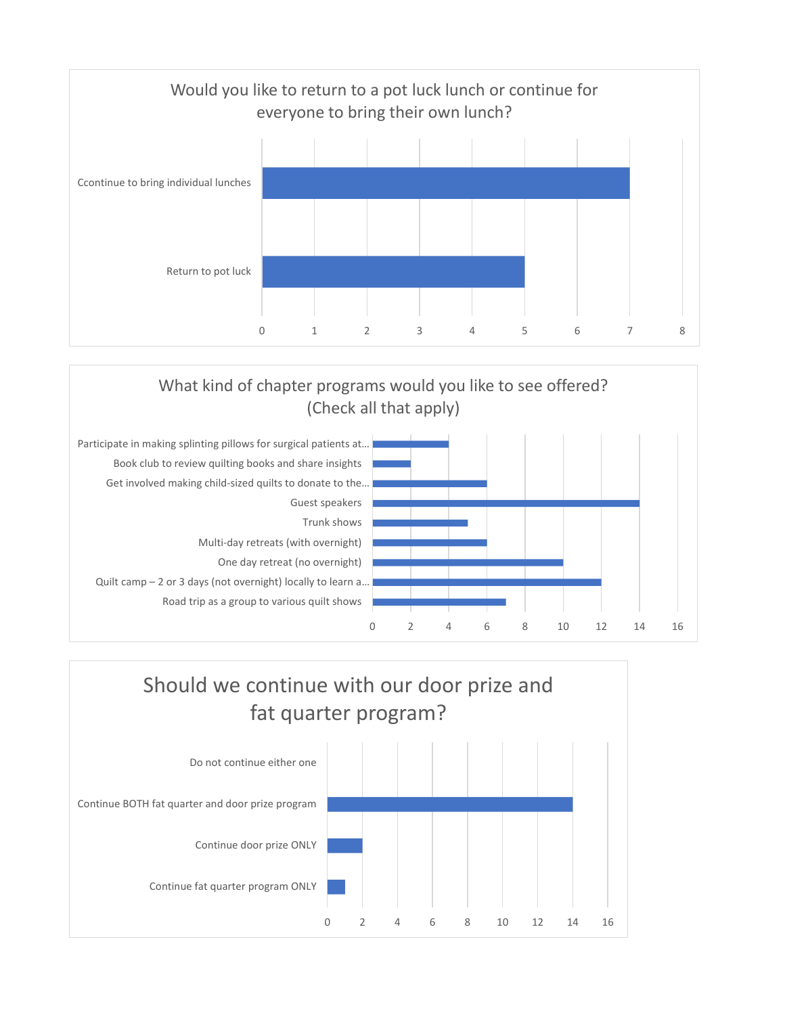



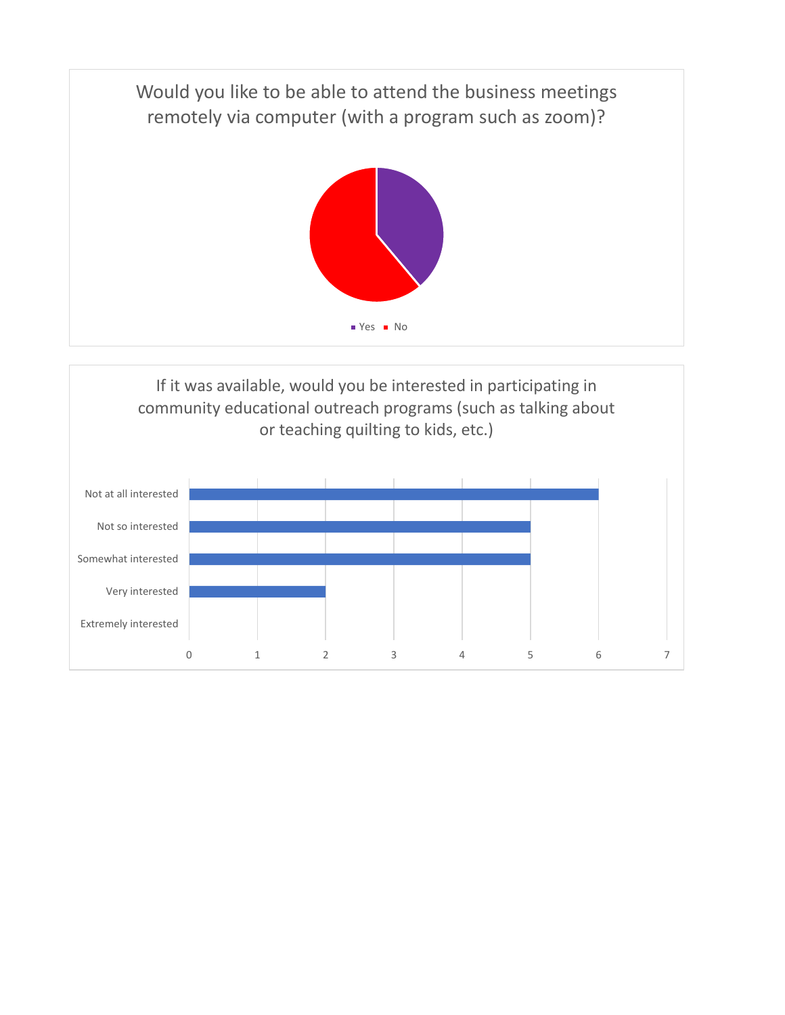